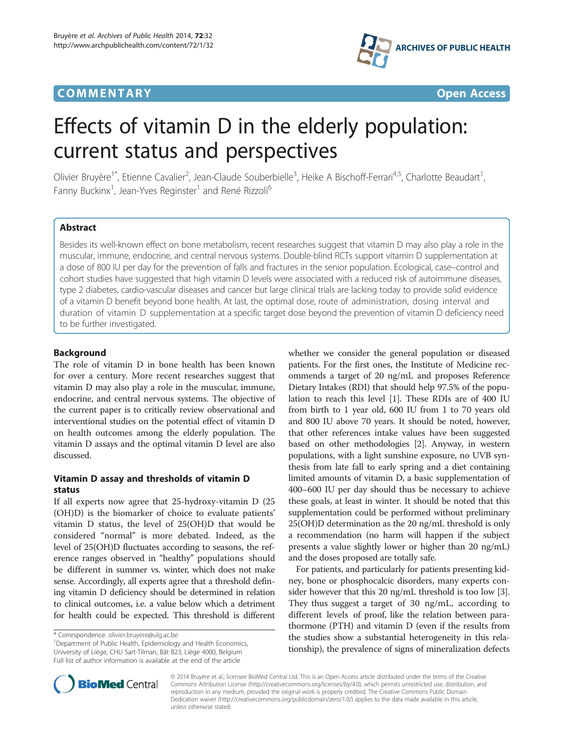## **COMMENTARY COMMENTARY Open Access**



# Effects of vitamin D in the elderly population: current status and perspectives

Olivier Bruyère<sup>1\*</sup>, Etienne Cavalier<sup>2</sup>, Jean-Claude Souberbielle<sup>3</sup>, Heike A Bischoff-Ferrari<sup>4,5</sup>, Charlotte Beaudart<sup>1</sup> , Fanny Buckinx<sup>1</sup>, Jean-Yves Reginster<sup>1</sup> and René Rizzoli<sup>6</sup>

## Abstract

Besides its well-known effect on bone metabolism, recent researches suggest that vitamin D may also play a role in the muscular, immune, endocrine, and central nervous systems. Double-blind RCTs support vitamin D supplementation at a dose of 800 IU per day for the prevention of falls and fractures in the senior population. Ecological, case–control and cohort studies have suggested that high vitamin D levels were associated with a reduced risk of autoimmune diseases, type 2 diabetes, cardio-vascular diseases and cancer but large clinical trials are lacking today to provide solid evidence of a vitamin D benefit beyond bone health. At last, the optimal dose, route of administration, dosing interval and duration of vitamin D supplementation at a specific target dose beyond the prevention of vitamin D deficiency need to be further investigated.

## Background

The role of vitamin D in bone health has been known for over a century. More recent researches suggest that vitamin D may also play a role in the muscular, immune, endocrine, and central nervous systems. The objective of the current paper is to critically review observational and interventional studies on the potential effect of vitamin D on health outcomes among the elderly population. The vitamin D assays and the optimal vitamin D level are also discussed.

## Vitamin D assay and thresholds of vitamin D status

If all experts now agree that 25-hydroxy-vitamin D (25 (OH)D) is the biomarker of choice to evaluate patients' vitamin D status, the level of 25(OH)D that would be considered "normal" is more debated. Indeed, as the level of 25(OH)D fluctuates according to seasons, the reference ranges observed in "healthy" populations should be different in summer vs. winter, which does not make sense. Accordingly, all experts agree that a threshold defining vitamin D deficiency should be determined in relation to clinical outcomes, i.e. a value below which a detriment for health could be expected. This threshold is different

<sup>1</sup>Department of Public Health, Epidemiology and Health Economics, University of Liège, CHU Sart-Tilman, Bât B23, Liège 4000, Belgium Full list of author information is available at the end of the article

whether we consider the general population or diseased patients. For the first ones, the Institute of Medicine recommends a target of 20 ng/mL and proposes Reference Dietary Intakes (RDI) that should help 97.5% of the population to reach this level [\[1](#page-6-0)]. These RDIs are of 400 IU from birth to 1 year old, 600 IU from 1 to 70 years old and 800 IU above 70 years. It should be noted, however, that other references intake values have been suggested based on other methodologies [[2](#page-6-0)]. Anyway, in western populations, with a light sunshine exposure, no UVB synthesis from late fall to early spring and a diet containing limited amounts of vitamin D, a basic supplementation of 400–600 IU per day should thus be necessary to achieve these goals, at least in winter. It should be noted that this supplementation could be performed without preliminary 25(OH)D determination as the 20 ng/mL threshold is only a recommendation (no harm will happen if the subject presents a value slightly lower or higher than 20 ng/mL) and the doses proposed are totally safe.

For patients, and particularly for patients presenting kidney, bone or phosphocalcic disorders, many experts consider however that this 20 ng/mL threshold is too low [[3](#page-6-0)]. They thus suggest a target of 30 ng/mL, according to different levels of proof, like the relation between parathormone (PTH) and vitamin D (even if the results from the studies show a substantial heterogeneity in this relationship), the prevalence of signs of mineralization defects



© 2014 Bruyère et al.; licensee BioMed Central Ltd. This is an Open Access article distributed under the terms of the Creative Commons Attribution License [\(http://creativecommons.org/licenses/by/4.0\)](http://creativecommons.org/licenses/by/4.0), which permits unrestricted use, distribution, and reproduction in any medium, provided the original work is properly credited. The Creative Commons Public Domain Dedication waiver [\(http://creativecommons.org/publicdomain/zero/1.0/](http://creativecommons.org/publicdomain/zero/1.0/)) applies to the data made available in this article, unless otherwise stated.

<sup>\*</sup> Correspondence: [olivier.bruyere@ulg.ac.be](mailto:olivier.bruyere@ulg.ac.be) <sup>1</sup>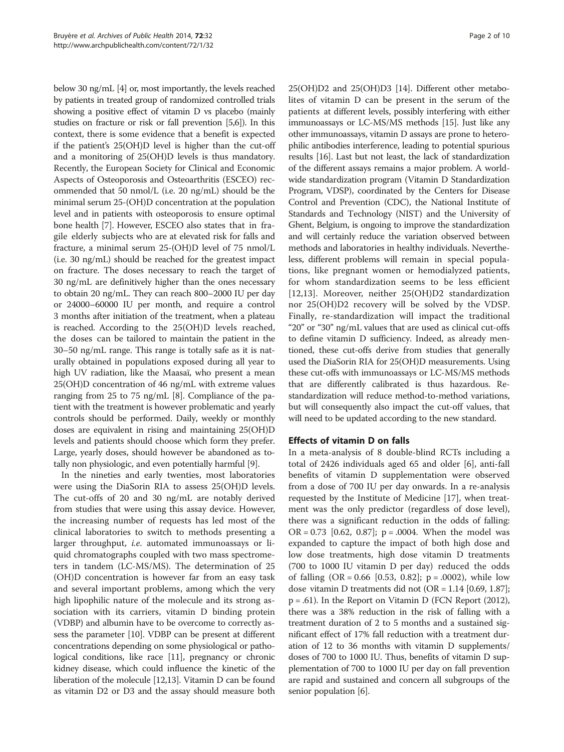below 30 ng/mL [\[4](#page-6-0)] or, most importantly, the levels reached by patients in treated group of randomized controlled trials showing a positive effect of vitamin D vs placebo (mainly studies on fracture or risk or fall prevention [\[5,6\]](#page-6-0)). In this context, there is some evidence that a benefit is expected if the patient's 25(OH)D level is higher than the cut-off and a monitoring of 25(OH)D levels is thus mandatory. Recently, the European Society for Clinical and Economic Aspects of Osteoporosis and Osteoarthritis (ESCEO) recommended that 50 nmol/L (i.e. 20 ng/mL) should be the minimal serum 25-(OH)D concentration at the population level and in patients with osteoporosis to ensure optimal bone health [\[7](#page-6-0)]. However, ESCEO also states that in fragile elderly subjects who are at elevated risk for falls and fracture, a minimal serum 25-(OH)D level of 75 nmol/L (i.e. 30 ng/mL) should be reached for the greatest impact on fracture. The doses necessary to reach the target of 30 ng/mL are definitively higher than the ones necessary to obtain 20 ng/mL. They can reach 800–2000 IU per day or 24000–60000 IU per month, and require a control 3 months after initiation of the treatment, when a plateau is reached. According to the 25(OH)D levels reached, the doses can be tailored to maintain the patient in the 30–50 ng/mL range. This range is totally safe as it is naturally obtained in populations exposed during all year to high UV radiation, like the Maasaï, who present a mean 25(OH)D concentration of 46 ng/mL with extreme values ranging from 25 to 75 ng/mL [\[8](#page-6-0)]. Compliance of the patient with the treatment is however problematic and yearly controls should be performed. Daily, weekly or monthly doses are equivalent in rising and maintaining 25(OH)D levels and patients should choose which form they prefer. Large, yearly doses, should however be abandoned as totally non physiologic, and even potentially harmful [\[9](#page-6-0)].

In the nineties and early twenties, most laboratories were using the DiaSorin RIA to assess 25(OH)D levels. The cut-offs of 20 and 30 ng/mL are notably derived from studies that were using this assay device. However, the increasing number of requests has led most of the clinical laboratories to switch to methods presenting a larger throughput, i.e. automated immunoassays or liquid chromatographs coupled with two mass spectrometers in tandem (LC-MS/MS). The determination of 25 (OH)D concentration is however far from an easy task and several important problems, among which the very high lipophilic nature of the molecule and its strong association with its carriers, vitamin D binding protein (VDBP) and albumin have to be overcome to correctly assess the parameter [\[10\]](#page-6-0). VDBP can be present at different concentrations depending on some physiological or pathological conditions, like race [\[11\]](#page-6-0), pregnancy or chronic kidney disease, which could influence the kinetic of the liberation of the molecule [[12,13](#page-6-0)]. Vitamin D can be found as vitamin D2 or D3 and the assay should measure both 25(OH)D2 and 25(OH)D3 [[14](#page-6-0)]. Different other metabolites of vitamin D can be present in the serum of the patients at different levels, possibly interfering with either immunoassays or LC-MS/MS methods [\[15\]](#page-6-0). Just like any other immunoassays, vitamin D assays are prone to heterophilic antibodies interference, leading to potential spurious results [\[16\]](#page-6-0). Last but not least, the lack of standardization of the different assays remains a major problem. A worldwide standardization program (Vitamin D Standardization Program, VDSP), coordinated by the Centers for Disease Control and Prevention (CDC), the National Institute of Standards and Technology (NIST) and the University of Ghent, Belgium, is ongoing to improve the standardization and will certainly reduce the variation observed between methods and laboratories in healthy individuals. Nevertheless, different problems will remain in special populations, like pregnant women or hemodialyzed patients, for whom standardization seems to be less efficient [[12,13](#page-6-0)]. Moreover, neither 25(OH)D2 standardization nor 25(OH)D2 recovery will be solved by the VDSP. Finally, re-standardization will impact the traditional "20" or "30" ng/mL values that are used as clinical cut-offs to define vitamin D sufficiency. Indeed, as already mentioned, these cut-offs derive from studies that generally used the DiaSorin RIA for 25(OH)D measurements. Using these cut-offs with immunoassays or LC-MS/MS methods that are differently calibrated is thus hazardous. Restandardization will reduce method-to-method variations, but will consequently also impact the cut-off values, that will need to be updated according to the new standard.

## Effects of vitamin D on falls

In a meta-analysis of 8 double-blind RCTs including a total of 2426 individuals aged 65 and older [\[6\]](#page-6-0), anti-fall benefits of vitamin D supplementation were observed from a dose of 700 IU per day onwards. In a re-analysis requested by the Institute of Medicine [[17\]](#page-7-0), when treatment was the only predictor (regardless of dose level), there was a significant reduction in the odds of falling: OR =  $0.73$  [0.62, 0.87]; p = .0004. When the model was expanded to capture the impact of both high dose and low dose treatments, high dose vitamin D treatments (700 to 1000 IU vitamin D per day) reduced the odds of falling  $(OR = 0.66 \, [0.53, 0.82]; p = .0002)$ , while low dose vitamin D treatments did not  $(OR = 1.14 [0.69, 1.87])$ ; p = .61). In the Report on Vitamin D (FCN Report (2012), there was a 38% reduction in the risk of falling with a treatment duration of 2 to 5 months and a sustained significant effect of 17% fall reduction with a treatment duration of 12 to 36 months with vitamin D supplements/ doses of 700 to 1000 IU. Thus, benefits of vitamin D supplementation of 700 to 1000 IU per day on fall prevention are rapid and sustained and concern all subgroups of the senior population [[6\]](#page-6-0).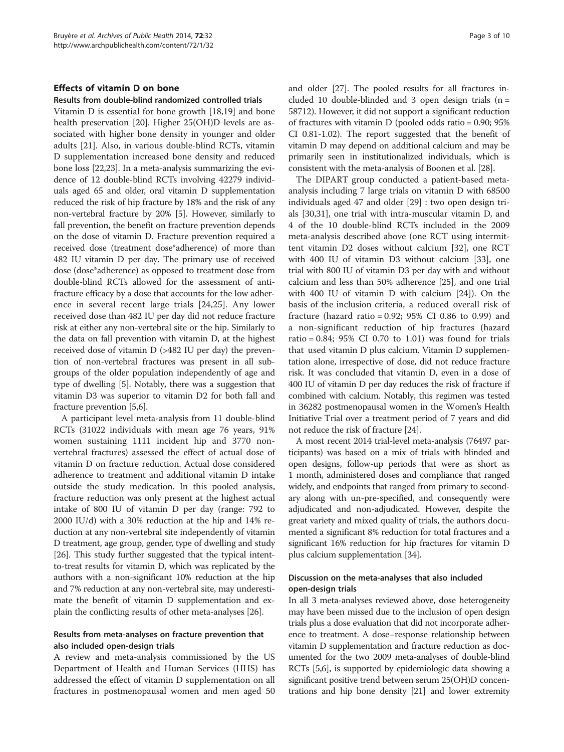#### Effects of vitamin D on bone

#### Results from double-blind randomized controlled trials

Vitamin D is essential for bone growth [\[18,19\]](#page-7-0) and bone health preservation [\[20\]](#page-7-0). Higher 25(OH)D levels are associated with higher bone density in younger and older adults [\[21\]](#page-7-0). Also, in various double-blind RCTs, vitamin D supplementation increased bone density and reduced bone loss [\[22,23\]](#page-7-0). In a meta-analysis summarizing the evidence of 12 double-blind RCTs involving 42279 individuals aged 65 and older, oral vitamin D supplementation reduced the risk of hip fracture by 18% and the risk of any non-vertebral fracture by 20% [\[5](#page-6-0)]. However, similarly to fall prevention, the benefit on fracture prevention depends on the dose of vitamin D. Fracture prevention required a received dose (treatment dose\*adherence) of more than 482 IU vitamin D per day. The primary use of received dose (dose\*adherence) as opposed to treatment dose from double-blind RCTs allowed for the assessment of antifracture efficacy by a dose that accounts for the low adherence in several recent large trials [[24,25\]](#page-7-0). Any lower received dose than 482 IU per day did not reduce fracture risk at either any non-vertebral site or the hip. Similarly to the data on fall prevention with vitamin D, at the highest received dose of vitamin D (>482 IU per day) the prevention of non-vertebral fractures was present in all subgroups of the older population independently of age and type of dwelling [\[5](#page-6-0)]. Notably, there was a suggestion that vitamin D3 was superior to vitamin D2 for both fall and fracture prevention [\[5,6](#page-6-0)].

A participant level meta-analysis from 11 double-blind RCTs (31022 individuals with mean age 76 years, 91% women sustaining 1111 incident hip and 3770 nonvertebral fractures) assessed the effect of actual dose of vitamin D on fracture reduction. Actual dose considered adherence to treatment and additional vitamin D intake outside the study medication. In this pooled analysis, fracture reduction was only present at the highest actual intake of 800 IU of vitamin D per day (range: 792 to 2000 IU/d) with a 30% reduction at the hip and 14% reduction at any non-vertebral site independently of vitamin D treatment, age group, gender, type of dwelling and study [[26](#page-7-0)]. This study further suggested that the typical intentto-treat results for vitamin D, which was replicated by the authors with a non-significant 10% reduction at the hip and 7% reduction at any non-vertebral site, may underestimate the benefit of vitamin D supplementation and explain the conflicting results of other meta-analyses [[26](#page-7-0)].

#### Results from meta-analyses on fracture prevention that also included open-design trials

A review and meta-analysis commissioned by the US Department of Health and Human Services (HHS) has addressed the effect of vitamin D supplementation on all fractures in postmenopausal women and men aged 50 and older [[27](#page-7-0)]. The pooled results for all fractures included 10 double-blinded and 3 open design trials ( $n =$ 58712). However, it did not support a significant reduction of fractures with vitamin D (pooled odds ratio = 0.90; 95% CI 0.81-1.02). The report suggested that the benefit of vitamin D may depend on additional calcium and may be primarily seen in institutionalized individuals, which is consistent with the meta-analysis of Boonen et al. [\[28\]](#page-7-0).

The DIPART group conducted a patient-based metaanalysis including 7 large trials on vitamin D with 68500 individuals aged 47 and older [[29\]](#page-7-0) : two open design trials [\[30,31\]](#page-7-0), one trial with intra-muscular vitamin D, and 4 of the 10 double-blind RCTs included in the 2009 meta-analysis described above (one RCT using intermittent vitamin D2 doses without calcium [[32\]](#page-7-0), one RCT with 400 IU of vitamin D3 without calcium [[33\]](#page-7-0), one trial with 800 IU of vitamin D3 per day with and without calcium and less than 50% adherence [[25\]](#page-7-0), and one trial with 400 IU of vitamin D with calcium [[24\]](#page-7-0)). On the basis of the inclusion criteria, a reduced overall risk of fracture (hazard ratio = 0.92; 95% CI 0.86 to 0.99) and a non-significant reduction of hip fractures (hazard ratio =  $0.84$ ;  $95\%$  CI 0.70 to 1.01) was found for trials that used vitamin D plus calcium. Vitamin D supplementation alone, irrespective of dose, did not reduce fracture risk. It was concluded that vitamin D, even in a dose of 400 IU of vitamin D per day reduces the risk of fracture if combined with calcium. Notably, this regimen was tested in 36282 postmenopausal women in the Women's Health Initiative Trial over a treatment period of 7 years and did not reduce the risk of fracture [\[24\]](#page-7-0).

A most recent 2014 trial-level meta-analysis (76497 participants) was based on a mix of trials with blinded and open designs, follow-up periods that were as short as 1 month, administered doses and compliance that ranged widely, and endpoints that ranged from primary to secondary along with un-pre-specified, and consequently were adjudicated and non-adjudicated. However, despite the great variety and mixed quality of trials, the authors documented a significant 8% reduction for total fractures and a significant 16% reduction for hip fractures for vitamin D plus calcium supplementation [\[34\]](#page-7-0).

#### Discussion on the meta-analyses that also included open-design trials

In all 3 meta-analyses reviewed above, dose heterogeneity may have been missed due to the inclusion of open design trials plus a dose evaluation that did not incorporate adherence to treatment. A dose–response relationship between vitamin D supplementation and fracture reduction as documented for the two 2009 meta-analyses of double-blind RCTs [\[5,6\]](#page-6-0), is supported by epidemiologic data showing a significant positive trend between serum 25(OH)D concentrations and hip bone density [\[21\]](#page-7-0) and lower extremity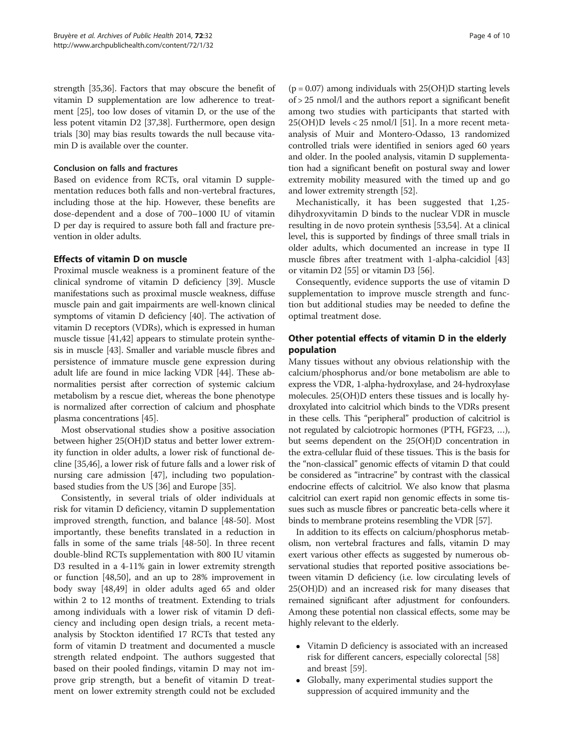strength [[35,36\]](#page-7-0). Factors that may obscure the benefit of vitamin D supplementation are low adherence to treatment [\[25\]](#page-7-0), too low doses of vitamin D, or the use of the less potent vitamin D2 [\[37,38\]](#page-7-0). Furthermore, open design trials [[30](#page-7-0)] may bias results towards the null because vitamin D is available over the counter.

#### Conclusion on falls and fractures

Based on evidence from RCTs, oral vitamin D supplementation reduces both falls and non-vertebral fractures, including those at the hip. However, these benefits are dose-dependent and a dose of 700–1000 IU of vitamin D per day is required to assure both fall and fracture prevention in older adults.

## Effects of vitamin D on muscle

Proximal muscle weakness is a prominent feature of the clinical syndrome of vitamin D deficiency [[39](#page-7-0)]. Muscle manifestations such as proximal muscle weakness, diffuse muscle pain and gait impairments are well-known clinical symptoms of vitamin D deficiency [\[40\]](#page-7-0). The activation of vitamin D receptors (VDRs), which is expressed in human muscle tissue [[41,42\]](#page-7-0) appears to stimulate protein synthesis in muscle [\[43](#page-7-0)]. Smaller and variable muscle fibres and persistence of immature muscle gene expression during adult life are found in mice lacking VDR [[44](#page-7-0)]. These abnormalities persist after correction of systemic calcium metabolism by a rescue diet, whereas the bone phenotype is normalized after correction of calcium and phosphate plasma concentrations [\[45\]](#page-7-0).

Most observational studies show a positive association between higher 25(OH)D status and better lower extremity function in older adults, a lower risk of functional decline [\[35,46\]](#page-7-0), a lower risk of future falls and a lower risk of nursing care admission [[47](#page-7-0)], including two populationbased studies from the US [\[36\]](#page-7-0) and Europe [\[35](#page-7-0)].

Consistently, in several trials of older individuals at risk for vitamin D deficiency, vitamin D supplementation improved strength, function, and balance [[48-](#page-7-0)[50](#page-8-0)]. Most importantly, these benefits translated in a reduction in falls in some of the same trials [[48-](#page-7-0)[50](#page-8-0)]. In three recent double-blind RCTs supplementation with 800 IU vitamin D3 resulted in a 4-11% gain in lower extremity strength or function [\[48](#page-7-0)[,50\]](#page-8-0), and an up to 28% improvement in body sway [[48,](#page-7-0)[49\]](#page-8-0) in older adults aged 65 and older within 2 to 12 months of treatment. Extending to trials among individuals with a lower risk of vitamin D deficiency and including open design trials, a recent metaanalysis by Stockton identified 17 RCTs that tested any form of vitamin D treatment and documented a muscle strength related endpoint. The authors suggested that based on their pooled findings, vitamin D may not improve grip strength, but a benefit of vitamin D treatment on lower extremity strength could not be excluded

 $(p = 0.07)$  among individuals with  $25(OH)D$  starting levels of > 25 nmol/l and the authors report a significant benefit among two studies with participants that started with  $25(OH)D$  levels <  $25$  nmol/l [\[51](#page-8-0)]. In a more recent metaanalysis of Muir and Montero-Odasso, 13 randomized controlled trials were identified in seniors aged 60 years and older. In the pooled analysis, vitamin D supplementation had a significant benefit on postural sway and lower extremity mobility measured with the timed up and go and lower extremity strength [\[52\]](#page-8-0).

Mechanistically, it has been suggested that 1,25 dihydroxyvitamin D binds to the nuclear VDR in muscle resulting in de novo protein synthesis [\[53,54\]](#page-8-0). At a clinical level, this is supported by findings of three small trials in older adults, which documented an increase in type II muscle fibres after treatment with 1-alpha-calcidiol [[43](#page-7-0)] or vitamin D2 [[55](#page-8-0)] or vitamin D3 [\[56\]](#page-8-0).

Consequently, evidence supports the use of vitamin D supplementation to improve muscle strength and function but additional studies may be needed to define the optimal treatment dose.

## Other potential effects of vitamin D in the elderly population

Many tissues without any obvious relationship with the calcium/phosphorus and/or bone metabolism are able to express the VDR, 1-alpha-hydroxylase, and 24-hydroxylase molecules. 25(OH)D enters these tissues and is locally hydroxylated into calcitriol which binds to the VDRs present in these cells. This "peripheral" production of calcitriol is not regulated by calciotropic hormones (PTH, FGF23, …), but seems dependent on the 25(OH)D concentration in the extra-cellular fluid of these tissues. This is the basis for the "non-classical" genomic effects of vitamin D that could be considered as "intracrine" by contrast with the classical endocrine effects of calcitriol. We also know that plasma calcitriol can exert rapid non genomic effects in some tissues such as muscle fibres or pancreatic beta-cells where it binds to membrane proteins resembling the VDR [\[57\]](#page-8-0).

In addition to its effects on calcium/phosphorus metabolism, non vertebral fractures and falls, vitamin D may exert various other effects as suggested by numerous observational studies that reported positive associations between vitamin D deficiency (i.e. low circulating levels of 25(OH)D) and an increased risk for many diseases that remained significant after adjustment for confounders. Among these potential non classical effects, some may be highly relevant to the elderly.

- Vitamin D deficiency is associated with an increased risk for different cancers, especially colorectal [[58\]](#page-8-0) and breast [[59](#page-8-0)].
- Globally, many experimental studies support the suppression of acquired immunity and the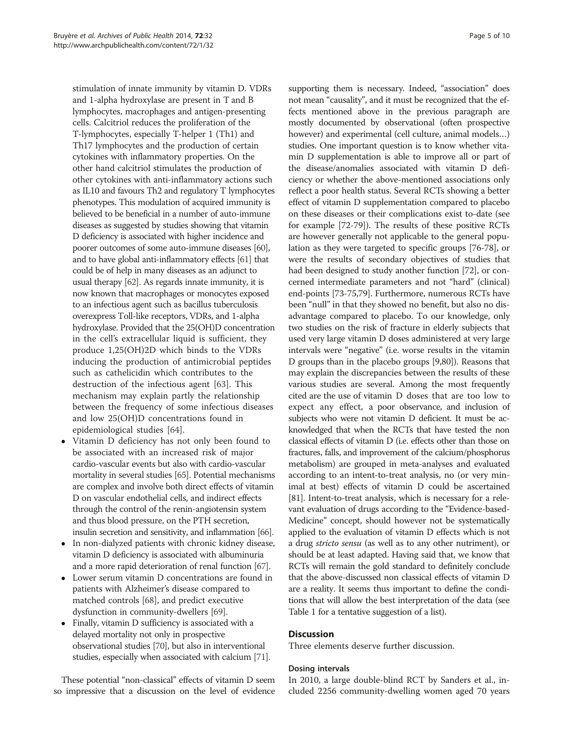stimulation of innate immunity by vitamin D. VDRs and 1-alpha hydroxylase are present in T and B lymphocytes, macrophages and antigen-presenting cells. Calcitriol reduces the proliferation of the T-lymphocytes, especially T-helper 1 (Th1) and Th17 lymphocytes and the production of certain cytokines with inflammatory properties. On the other hand calcitriol stimulates the production of other cytokines with anti-inflammatory actions such as IL10 and favours Th2 and regulatory T lymphocytes phenotypes. This modulation of acquired immunity is believed to be beneficial in a number of auto-immune diseases as suggested by studies showing that vitamin D deficiency is associated with higher incidence and poorer outcomes of some auto-immune diseases [\[60](#page-8-0)], and to have global anti-inflammatory effects [[61\]](#page-8-0) that could be of help in many diseases as an adjunct to usual therapy [\[62\]](#page-8-0). As regards innate immunity, it is now known that macrophages or monocytes exposed to an infectious agent such as bacillus tuberculosis overexpress Toll-like receptors, VDRs, and 1-alpha hydroxylase. Provided that the 25(OH)D concentration in the cell's extracellular liquid is sufficient, they produce 1,25(OH)2D which binds to the VDRs inducing the production of antimicrobial peptides such as cathelicidin which contributes to the destruction of the infectious agent [[63\]](#page-8-0). This mechanism may explain partly the relationship between the frequency of some infectious diseases and low 25(OH)D concentrations found in epidemiological studies [[64\]](#page-8-0).

- Vitamin D deficiency has not only been found to be associated with an increased risk of major cardio-vascular events but also with cardio-vascular mortality in several studies [\[65\]](#page-8-0). Potential mechanisms are complex and involve both direct effects of vitamin D on vascular endothelial cells, and indirect effects through the control of the renin-angiotensin system and thus blood pressure, on the PTH secretion, insulin secretion and sensitivity, and inflammation [\[66](#page-8-0)].
- In non-dialyzed patients with chronic kidney disease, vitamin D deficiency is associated with albuminuria and a more rapid deterioration of renal function [\[67\]](#page-8-0).
- Lower serum vitamin D concentrations are found in patients with Alzheimer's disease compared to matched controls [\[68\]](#page-8-0), and predict executive dysfunction in community-dwellers [[69](#page-8-0)].
- Finally, vitamin D sufficiency is associated with a delayed mortality not only in prospective observational studies [\[70\]](#page-8-0), but also in interventional studies, especially when associated with calcium [\[71](#page-8-0)].

These potential "non-classical" effects of vitamin D seem so impressive that a discussion on the level of evidence

supporting them is necessary. Indeed, "association" does not mean "causality", and it must be recognized that the effects mentioned above in the previous paragraph are mostly documented by observational (often prospective however) and experimental (cell culture, animal models…) studies. One important question is to know whether vitamin D supplementation is able to improve all or part of the disease/anomalies associated with vitamin D deficiency or whether the above-mentioned associations only reflect a poor health status. Several RCTs showing a better effect of vitamin D supplementation compared to placebo on these diseases or their complications exist to-date (see for example [[72](#page-8-0)-[79](#page-8-0)]). The results of these positive RCTs are however generally not applicable to the general population as they were targeted to specific groups [[76](#page-8-0)-[78](#page-8-0)], or were the results of secondary objectives of studies that had been designed to study another function [\[72\]](#page-8-0), or concerned intermediate parameters and not "hard" (clinical) end-points [[73](#page-8-0)-[75](#page-8-0),[79](#page-8-0)]. Furthermore, numerous RCTs have been "null" in that they showed no benefit, but also no disadvantage compared to placebo. To our knowledge, only two studies on the risk of fracture in elderly subjects that used very large vitamin D doses administered at very large intervals were "negative" (i.e. worse results in the vitamin D groups than in the placebo groups [[9](#page-6-0)[,80](#page-9-0)]). Reasons that may explain the discrepancies between the results of these various studies are several. Among the most frequently cited are the use of vitamin D doses that are too low to expect any effect, a poor observance, and inclusion of subjects who were not vitamin D deficient. It must be acknowledged that when the RCTs that have tested the non classical effects of vitamin D (i.e. effects other than those on fractures, falls, and improvement of the calcium/phosphorus metabolism) are grouped in meta-analyses and evaluated according to an intent-to-treat analysis, no (or very minimal at best) effects of vitamin D could be ascertained [[81](#page-9-0)]. Intent-to-treat analysis, which is necessary for a relevant evaluation of drugs according to the "Evidence-based-Medicine" concept, should however not be systematically applied to the evaluation of vitamin D effects which is not a drug stricto sensu (as well as to any other nutriment), or should be at least adapted. Having said that, we know that RCTs will remain the gold standard to definitely conclude that the above-discussed non classical effects of vitamin D are a reality. It seems thus important to define the conditions that will allow the best interpretation of the data (see Table [1](#page-5-0) for a tentative suggestion of a list).

## **Discussion**

Three elements deserve further discussion.

#### Dosing intervals

In 2010, a large double-blind RCT by Sanders et al., included 2256 community-dwelling women aged 70 years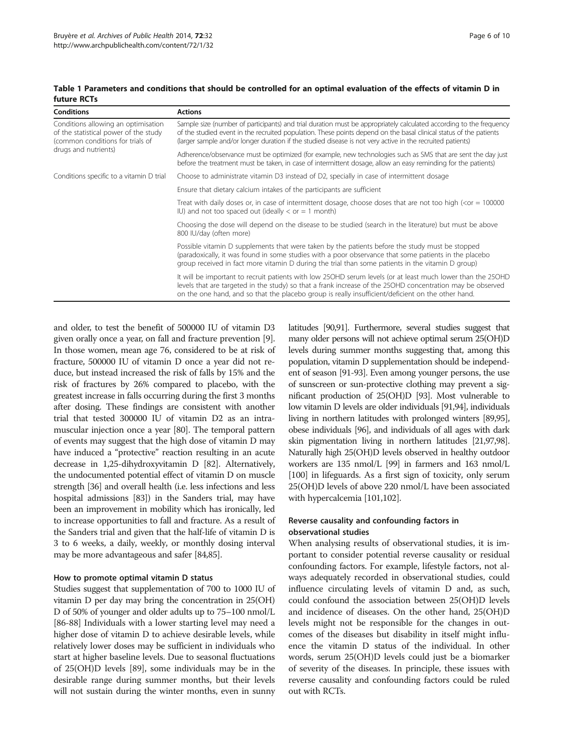| <b>Conditions</b>                                                                                                                        | <b>Actions</b>                                                                                                                                                                                                                                                                                                                                          |
|------------------------------------------------------------------------------------------------------------------------------------------|---------------------------------------------------------------------------------------------------------------------------------------------------------------------------------------------------------------------------------------------------------------------------------------------------------------------------------------------------------|
| Conditions allowing an optimisation<br>of the statistical power of the study<br>(common conditions for trials of<br>drugs and nutrients) | Sample size (number of participants) and trial duration must be appropriately calculated according to the frequency<br>of the studied event in the recruited population. These points depend on the basal clinical status of the patients<br>(larger sample and/or longer duration if the studied disease is not very active in the recruited patients) |
|                                                                                                                                          | Adherence/observance must be optimized (for example, new technologies such as SMS that are sent the day just<br>before the treatment must be taken, in case of intermittent dosage, allow an easy reminding for the patients)                                                                                                                           |
| Conditions specific to a vitamin D trial                                                                                                 | Choose to administrate vitamin D3 instead of D2, specially in case of intermittent dosage                                                                                                                                                                                                                                                               |
|                                                                                                                                          | Ensure that dietary calcium intakes of the participants are sufficient                                                                                                                                                                                                                                                                                  |
|                                                                                                                                          | Treat with daily doses or, in case of intermittent dosage, choose doses that are not too high ( <or 100000<br="" =="">IU) and not too spaced out (ideally <math>\lt</math> or <math>=</math> 1 month)</or>                                                                                                                                              |
|                                                                                                                                          | Choosing the dose will depend on the disease to be studied (search in the literature) but must be above<br>800 IU/day (often more)                                                                                                                                                                                                                      |
|                                                                                                                                          | Possible vitamin D supplements that were taken by the patients before the study must be stopped<br>(paradoxically, it was found in some studies with a poor observance that some patients in the placebo<br>group received in fact more vitamin $D$ during the trial than some patients in the vitamin $D$ group)                                       |
|                                                                                                                                          | It will be important to recruit patients with low 25OHD serum levels (or at least much lower than the 25OHD<br>levels that are targeted in the study) so that a frank increase of the 25OHD concentration may be observed<br>on the one hand, and so that the placebo group is really insufficient/deficient on the other hand.                         |

<span id="page-5-0"></span>Table 1 Parameters and conditions that should be controlled for an optimal evaluation of the effects of vitamin D in future RCTs

and older, to test the benefit of 500000 IU of vitamin D3 given orally once a year, on fall and fracture prevention [[9](#page-6-0)]. In those women, mean age 76, considered to be at risk of fracture, 500000 IU of vitamin D once a year did not reduce, but instead increased the risk of falls by 15% and the risk of fractures by 26% compared to placebo, with the greatest increase in falls occurring during the first 3 months after dosing. These findings are consistent with another trial that tested 300000 IU of vitamin D2 as an intramuscular injection once a year [\[80\]](#page-9-0). The temporal pattern of events may suggest that the high dose of vitamin D may have induced a "protective" reaction resulting in an acute decrease in 1,25-dihydroxyvitamin D [\[82\]](#page-9-0). Alternatively, the undocumented potential effect of vitamin D on muscle strength [\[36\]](#page-7-0) and overall health (i.e. less infections and less hospital admissions [\[83](#page-9-0)]) in the Sanders trial, may have been an improvement in mobility which has ironically, led to increase opportunities to fall and fracture. As a result of the Sanders trial and given that the half-life of vitamin D is 3 to 6 weeks, a daily, weekly, or monthly dosing interval may be more advantageous and safer [\[84,85](#page-9-0)].

#### How to promote optimal vitamin D status

Studies suggest that supplementation of 700 to 1000 IU of vitamin D per day may bring the concentration in 25(OH) D of 50% of younger and older adults up to 75–100 nmol/L [[86](#page-9-0)-[88\]](#page-9-0) Individuals with a lower starting level may need a higher dose of vitamin D to achieve desirable levels, while relatively lower doses may be sufficient in individuals who start at higher baseline levels. Due to seasonal fluctuations of 25(OH)D levels [[89](#page-9-0)], some individuals may be in the desirable range during summer months, but their levels will not sustain during the winter months, even in sunny

latitudes [\[90,91](#page-9-0)]. Furthermore, several studies suggest that many older persons will not achieve optimal serum 25(OH)D levels during summer months suggesting that, among this population, vitamin D supplementation should be independent of season [\[91-93](#page-9-0)]. Even among younger persons, the use of sunscreen or sun-protective clothing may prevent a significant production of 25(OH)D [\[93\]](#page-9-0). Most vulnerable to low vitamin D levels are older individuals [\[91,94\]](#page-9-0), individuals living in northern latitudes with prolonged winters [\[89,95](#page-9-0)], obese individuals [[96\]](#page-9-0), and individuals of all ages with dark skin pigmentation living in northern latitudes [[21](#page-7-0)[,97,98](#page-9-0)]. Naturally high 25(OH)D levels observed in healthy outdoor workers are 135 nmol/L [\[99\]](#page-9-0) in farmers and 163 nmol/L [[100](#page-9-0)] in lifeguards. As a first sign of toxicity, only serum 25(OH)D levels of above 220 nmol/L have been associated with hypercalcemia [[101,102\]](#page-9-0).

## Reverse causality and confounding factors in observational studies

When analysing results of observational studies, it is important to consider potential reverse causality or residual confounding factors. For example, lifestyle factors, not always adequately recorded in observational studies, could influence circulating levels of vitamin D and, as such, could confound the association between 25(OH)D levels and incidence of diseases. On the other hand, 25(OH)D levels might not be responsible for the changes in outcomes of the diseases but disability in itself might influence the vitamin D status of the individual. In other words, serum 25(OH)D levels could just be a biomarker of severity of the diseases. In principle, these issues with reverse causality and confounding factors could be ruled out with RCTs.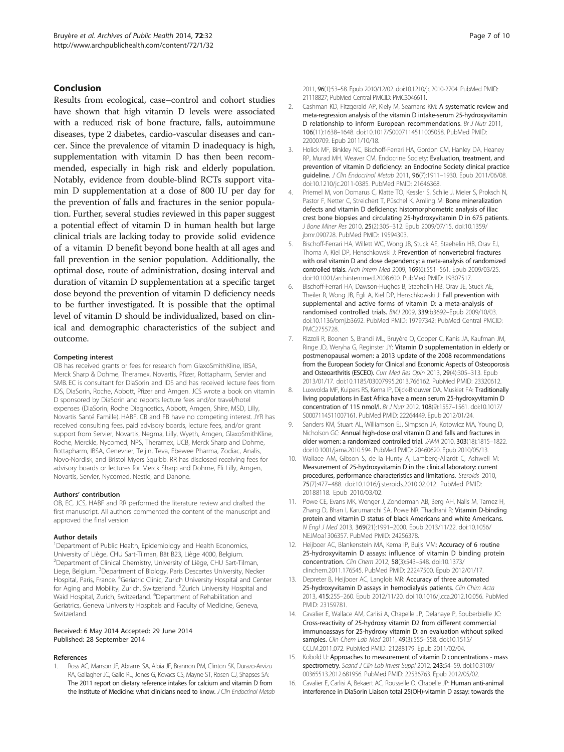#### <span id="page-6-0"></span>Conclusion

Results from ecological, case–control and cohort studies have shown that high vitamin D levels were associated with a reduced risk of bone fracture, falls, autoimmune diseases, type 2 diabetes, cardio-vascular diseases and cancer. Since the prevalence of vitamin D inadequacy is high, supplementation with vitamin D has then been recommended, especially in high risk and elderly population. Notably, evidence from double-blind RCTs support vitamin D supplementation at a dose of 800 IU per day for the prevention of falls and fractures in the senior population. Further, several studies reviewed in this paper suggest a potential effect of vitamin D in human health but large clinical trials are lacking today to provide solid evidence of a vitamin D benefit beyond bone health at all ages and fall prevention in the senior population. Additionally, the optimal dose, route of administration, dosing interval and duration of vitamin D supplementation at a specific target dose beyond the prevention of vitamin D deficiency needs to be further investigated. It is possible that the optimal level of vitamin D should be individualized, based on clinical and demographic characteristics of the subject and outcome.

#### Competing interest

OB has received grants or fees for research from GlaxoSmithKline, IBSA, Merck Sharp & Dohme, Theramex, Novartis, Pfizer, Rottapharm, Servier and SMB. EC is consultant for DiaSorin and IDS and has received lecture fees from IDS, DiaSorin, Roche, Abbott, Pfizer and Amgen. JCS wrote a book on vitamin D sponsored by DiaSorin and reports lecture fees and/or travel/hotel expenses (DiaSorin, Roche Diagnostics, Abbott, Amgen, Shire, MSD, Lilly, Novartis Santé Famille). HABF, CB and FB have no competing interest. JYR has received consulting fees, paid advisory boards, lecture fees, and/or grant support from Servier, Novartis, Negma, Lilly, Wyeth, Amgen, GlaxoSmithKline, Roche, Merckle, Nycomed, NPS, Theramex, UCB, Merck Sharp and Dohme, Rottapharm, IBSA, Genevrier, Teijin, Teva, Ebewee Pharma, Zodiac, Analis, Novo-Nordisk, and Bristol Myers Squibb. RR has disclosed receiving fees for advisory boards or lectures for Merck Sharp and Dohme, Eli Lilly, Amgen, Novartis, Servier, Nycomed, Nestle, and Danone.

#### Authors' contribution

OB, EC, JCS, HABF and RR performed the literature review and drafted the first manuscript. All authors commented the content of the manuscript and approved the final version

#### Author details

<sup>1</sup>Department of Public Health, Epidemiology and Health Economics, University of Liège, CHU Sart-Tilman, Bât B23, Liège 4000, Belgium. 2 Department of Clinical Chemistry, University of Liège, CHU Sart-Tilman, Liege, Belgium. <sup>3</sup>Department of Biology, Paris Descartes University, Necker Hospital, Paris, France. <sup>4</sup>Geriatric Clinic, Zurich University Hospital and Center for Aging and Mobility, Zurich, Switzerland. <sup>5</sup>Zurich University Hospital and Waid Hospital, Zurich, Switzerland. <sup>6</sup>Department of Rehabilitation and Geriatrics, Geneva University Hospitals and Faculty of Medicine, Geneva, Switzerland.

#### Received: 6 May 2014 Accepted: 29 June 2014 Published: 28 September 2014

#### References

Ross AC, Manson JE, Abrams SA, Aloia JF, Brannon PM, Clinton SK, Durazo-Arvizu RA, Gallagher JC, Gallo RL, Jones G, Kovacs CS, Mayne ST, Rosen CJ, Shapses SA: The 2011 report on dietary reference intakes for calcium and vitamin D from the Institute of Medicine: what clinicians need to know. J Clin Endocrinol Metab

- 2. Cashman KD, Fitzgerald AP, Kiely M, Seamans KM: A systematic review and meta-regression analysis of the vitamin D intake-serum 25-hydroxyvitamin D relationship to inform European recommendations. Br J Nutr 2011, 106(11):1638–1648. doi:10.1017/S0007114511005058. PubMed PMID: 22000709. Epub 2011/10/18.
- 3. Holick MF, Binkley NC, Bischoff-Ferrari HA, Gordon CM, Hanley DA, Heaney RP, Murad MH, Weaver CM, Endocrine Society: Evaluation, treatment, and prevention of vitamin D deficiency: an Endocrine Society clinical practice guideline. J Clin Endocrinol Metab 2011, 96(7):1911–1930. Epub 2011/06/08. doi:10.1210/jc.2011-0385. PubMed PMID: 21646368.
- 4. Priemel M, von Domarus C, Klatte TO, Kessler S, Schlie J, Meier S, Proksch N, Pastor F, Netter C, Streichert T, Püschel K, Amling M: Bone mineralization defects and vitamin D deficiency: histomorphometric analysis of iliac crest bone biopsies and circulating 25-hydroxyvitamin D in 675 patients. J Bone Miner Res 2010, 25(2):305–312. Epub 2009/07/15. doi:10.1359/ jbmr.090728. PubMed PMID: 19594303.
- 5. Bischoff-Ferrari HA, Willett WC, Wong JB, Stuck AE, Staehelin HB, Orav EJ, Thoma A, Kiel DP, Henschkowski J: Prevention of nonvertebral fractures with oral vitamin D and dose dependency: a meta-analysis of randomized controlled trials. Arch Intern Med 2009, 169(6):551–561. Epub 2009/03/25. doi:10.1001/archinternmed.2008.600. PubMed PMID: 19307517.
- 6. Bischoff-Ferrari HA, Dawson-Hughes B, Staehelin HB, Orav JE, Stuck AE, Theiler R, Wong JB, Egli A, Kiel DP, Henschkowski J: Fall prevention with supplemental and active forms of vitamin D: a meta-analysis of randomised controlled trials. BMJ 2009, 339:b3692–Epub 2009/10/03. doi:10.1136/bmj.b3692. PubMed PMID: 19797342; PubMed Central PMCID: PMC2755728.
- 7. Rizzoli R, Boonen S, Brandi ML, Bruyère O, Cooper C, Kanis JA, Kaufman JM, Ringe JD, Weryha G, Reginster JY: Vitamin D supplementation in elderly or postmenopausal women: a 2013 update of the 2008 recommendations from the European Society for Clinical and Economic Aspects of Osteoporosis and Osteoarthritis (ESCEO). Curr Med Res Opin 2013, 29(4):305–313. Epub 2013/01/17. doi:10.1185/03007995.2013.766162. PubMed PMID: 23320612.
- 8. Luxwolda MF, Kuipers RS, Kema IP, Dijck-Brouwer DA, Muskiet FA: Traditionally living populations in East Africa have a mean serum 25-hydroxyvitamin D concentration of 115 nmol/l. Br J Nutr 2012, 108(9):1557–1561. doi:10.1017/ S0007114511007161. PubMed PMID: 22264449. Epub 2012/01/24.
- 9. Sanders KM, Stuart AL, Williamson EJ, Simpson JA, Kotowicz MA, Young D, Nicholson GC: Annual high-dose oral vitamin D and falls and fractures in older women: a randomized controlled trial. JAMA 2010, 303(18):1815–1822. doi:10.1001/jama.2010.594. PubMed PMID: 20460620. Epub 2010/05/13.
- 10. Wallace AM, Gibson S, de la Hunty A, Lamberg-Allardt C, Ashwell M: Measurement of 25-hydroxyvitamin D in the clinical laboratory: current procedures, performance characteristics and limitations. Steroids 2010, 75(7):477–488. doi:10.1016/j.steroids.2010.02.012. PubMed PMID: 20188118. Epub 2010/03/02.
- 11. Powe CE, Evans MK, Wenger J, Zonderman AB, Berg AH, Nalls M, Tamez H, Zhang D, Bhan I, Karumanchi SA, Powe NR, Thadhani R: Vitamin D-binding protein and vitamin D status of black Americans and white Americans. N Engl J Med 2013, 369(21):1991–2000. Epub 2013/11/22. doi:10.1056/ NEJMoa1306357. PubMed PMID: 24256378.
- 12. Heijboer AC, Blankenstein MA, Kema IP, Buijs MM: Accuracy of 6 routine 25-hydroxyvitamin D assays: influence of vitamin D binding protein concentration. Clin Chem 2012, 58(3):543–548. doi:10.1373/ clinchem.2011.176545. PubMed PMID: 22247500. Epub 2012/01/17.
- 13. Depreter B, Heijboer AC, Langlois MR: Accuracy of three automated 25-hydroxyvitamin D assays in hemodialysis patients. Clin Chim Acta 2013, 415:255–260. Epub 2012/11/20. doi:10.1016/j.cca.2012.10.056. PubMed PMID: 23159781.
- 14. Cavalier E, Wallace AM, Carlisi A, Chapelle JP, Delanaye P, Souberbielle JC: Cross-reactivity of 25-hydroxy vitamin D2 from different commercial immunoassays for 25-hydroxy vitamin D: an evaluation without spiked samples. Clin Chem Lab Med 2011, 49(3):555–558. doi:10.1515/ CCLM.2011.072. PubMed PMID: 21288179. Epub 2011/02/04.
- 15. Kobold U: Approaches to measurement of vitamin D concentrations mass spectrometry. Scand J Clin Lab Invest Suppl 2012, 243:54–59. doi:10.3109/ 00365513.2012.681956. PubMed PMID: 22536763. Epub 2012/05/02.
- 16. Cavalier E, Carlisi A, Bekaert AC, Rousselle O, Chapelle JP: Human anti-animal interference in DiaSorin Liaison total 25(OH)-vitamin D assay: towards the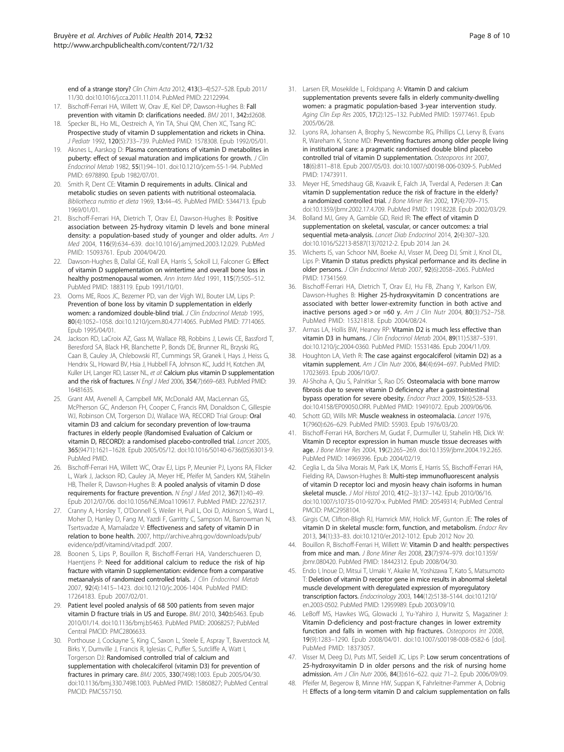<span id="page-7-0"></span>end of a strange story? Clin Chim Acta 2012, 413(3-4):527-528. Epub 2011/ 11/30. doi:10.1016/j.cca.2011.11.014. PubMed PMID: 22122994.

- 17. Bischoff-Ferrari HA, Willett W, Orav JE, Kiel DP, Dawson-Hughes B: Fall prevention with vitamin D: clarifications needed. BMJ 2011, 342:d2608.
- 18. Specker BL, Ho ML, Oestreich A, Yin TA, Shui QM, Chen XC, Tsang RC: Prospective study of vitamin D supplementation and rickets in China. J Pediatr 1992, 120(5):733–739. PubMed PMID: 1578308. Epub 1992/05/01.
- 19. Aksnes L, Aarskog D: Plasma concentrations of vitamin D metabolites in puberty: effect of sexual maturation and implications for growth. J Clin Endocrinol Metab 1982, 55(1):94–101. doi:10.1210/jcem-55-1-94. PubMed PMID: 6978890. Epub 1982/07/01.
- 20. Smith R, Dent CE: Vitamin D requirements in adults. Clinical and metabolic studies on seven patients with nutritional osteomalacia. Bibliotheca nutritio et dieta 1969, 13:44–45. PubMed PMID: 5344713. Epub 1969/01/01.
- 21. Bischoff-Ferrari HA, Dietrich T, Orav EJ, Dawson-Hughes B: Positive association between 25-hydroxy vitamin D levels and bone mineral density: a population-based study of younger and older adults. Am J Med 2004, 116(9):634–639. doi:10.1016/j.amjmed.2003.12.029. PubMed PMID: 15093761. Epub 2004/04/20.
- 22. Dawson-Hughes B, Dallal GE, Krall EA, Harris S, Sokoll LJ, Falconer G: Effect of vitamin D supplementation on wintertime and overall bone loss in healthy postmenopausal women. Ann Intern Med 1991, 115(7):505–512. PubMed PMID: 1883119. Epub 1991/10/01.
- 23. Ooms ME, Roos JC, Bezemer PD, van der Vijgh WJ, Bouter LM, Lips P: Prevention of bone loss by vitamin D supplementation in elderly women: a randomized double-blind trial. J Clin Endocrinol Metab 1995, 80(4):1052–1058. doi:10.1210/jcem.80.4.7714065. PubMed PMID: 7714065. Epub 1995/04/01.
- 24. Jackson RD, LaCroix AZ, Gass M, Wallace RB, Robbins J, Lewis CE, Bassford T, Beresford SA, Black HR, Blanchette P, Bonds DE, Brunner RL, Brzyski RG, Caan B, Cauley JA, Chlebowski RT, Cummings SR, Granek I, Hays J, Heiss G, Hendrix SL, Howard BV, Hsia J, Hubbell FA, Johnson KC, Judd H, Kotchen JM, Kuller LH, Langer RD, Lasser NL, et al: Calcium plus vitamin D supplementation and the risk of fractures. N Engl J Med 2006, 354(7):669-683. PubMed PMID: 16481635.
- 25. Grant AM, Avenell A, Campbell MK, McDonald AM, MacLennan GS, McPherson GC, Anderson FH, Cooper C, Francis RM, Donaldson C, Gillespie WJ, Robinson CM, Torgerson DJ, Wallace WA, RECORD Trial Group: Oral vitamin D3 and calcium for secondary prevention of low-trauma fractures in elderly people (Randomised Evaluation of Calcium or vitamin D, RECORD): a randomised placebo-controlled trial. Lancet 2005, 365(9471):1621–1628. Epub 2005/05/12. doi:10.1016/S0140-6736(05)63013-9. PubMed PMID.
- 26. Bischoff-Ferrari HA, Willett WC, Orav EJ, Lips P, Meunier PJ, Lyons RA, Flicker L, Wark J, Jackson RD, Cauley JA, Meyer HE, Pfeifer M, Sanders KM, Stähelin HB, Theiler R, Dawson-Hughes B: A pooled analysis of vitamin D dose requirements for fracture prevention. N Engl J Med 2012, 367(1):40–49. Epub 2012/07/06. doi:10.1056/NEJMoa1109617. PubMed PMID: 22762317.
- 27. Cranny A, Horsley T, O'Donnell S, Weiler H, Puil L, Ooi D, Atkinson S, Ward L, Moher D, Hanley D, Fang M, Yazdi F, Garritty C, Sampson M, Barrowman N, Tsertsvadze A, Mamaladze V: Effectiveness and safety of vitamin D in relation to bone health. 2007, [http://archive.ahrq.gov/downloads/pub/](http://archive.ahrq.gov/downloads/pub/evidence/pdf/vitamind/vitad.pdf) [evidence/pdf/vitamind/vitad.pdf.](http://archive.ahrq.gov/downloads/pub/evidence/pdf/vitamind/vitad.pdf) 2007.
- 28. Boonen S, Lips P, Bouillon R, Bischoff-Ferrari HA, Vanderschueren D, Haentjens P: Need for additional calcium to reduce the risk of hip fracture with vitamin D supplementation: evidence from a comparative metaanalysis of randomized controlled trials. J Clin Endocrinol Metab 2007, 92(4):1415–1423. doi:10.1210/jc.2006-1404. PubMed PMID: 17264183. Epub 2007/02/01.
- 29. Patient level pooled analysis of 68 500 patients from seven major vitamin D fracture trials in US and Europe. BMJ 2010, 340:b5463. Epub 2010/01/14. doi:10.1136/bmj.b5463. PubMed PMID: 20068257; PubMed Central PMCID: PMC2806633.
- 30. Porthouse J, Cockayne S, King C, Saxon L, Steele E, Aspray T, Baverstock M, Birks Y, Dumville J, Francis R, Iglesias C, Puffer S, Sutcliffe A, Watt I, Torgerson DJ: Randomised controlled trial of calcium and supplementation with cholecalciferol (vitamin D3) for prevention of fractures in primary care. BMJ 2005, 330(7498):1003. Epub 2005/04/30. doi:10.1136/bmj.330.7498.1003. PubMed PMID: 15860827; PubMed Central PMCID: PMC557150.
- 31. Larsen ER, Mosekilde L, Foldspang A: Vitamin D and calcium supplementation prevents severe falls in elderly community-dwelling women: a pragmatic population-based 3-year intervention study. Aging Clin Exp Res 2005, 17(2):125-132. PubMed PMID: 15977461. Epub 2005/06/28.
- 32. Lyons RA, Johansen A, Brophy S, Newcombe RG, Phillips CJ, Lervy B, Evans R, Wareham K, Stone MD: Preventing fractures among older people living in institutional care: a pragmatic randomised double blind placebo controlled trial of vitamin D supplementation. Osteoporos Int 2007, 18(6):811–818. Epub 2007/05/03. doi:10.1007/s00198-006-0309-5. PubMed PMID: 17473911.
- 33. Meyer HE, Smedshaug GB, Kvaavik E, Falch JA, Tverdal A, Pedersen JI: Can vitamin D supplementation reduce the risk of fracture in the elderly? a randomized controlled trial. J Bone Miner Res 2002, 17(4):709–715. doi:10.1359/jbmr.2002.17.4.709. PubMed PMID: 11918228. Epub 2002/03/29.
- 34. Bolland MJ, Grey A, Gamble GD, Reid IR: The effect of vitamin D supplementation on skeletal, vascular, or cancer outcomes: a trial sequential meta-analysis. Lancet Diab Endocrinol 2014, 2(4):307–320. doi:10.1016/S2213-8587(13)70212-2. Epub 2014 Jan 24.
- 35. Wicherts IS, van Schoor NM, Boeke AJ, Visser M, Deeg DJ, Smit J, Knol DL, Lips P: Vitamin D status predicts physical performance and its decline in older persons. J Clin Endocrinol Metab 2007, 92(6):2058–2065. PubMed PMID: 17341569.
- 36. Bischoff-Ferrari HA, Dietrich T, Orav EJ, Hu FB, Zhang Y, Karlson EW, Dawson-Hughes B: Higher 25-hydroxyvitamin D concentrations are associated with better lower-extremity function in both active and inactive persons aged > or =60 y. Am J Clin Nutr 2004,  $80(3):752-758$ . PubMed PMID: 15321818. Epub 2004/08/24.
- 37. Armas LA, Hollis BW, Heaney RP: Vitamin D2 is much less effective than vitamin D3 in humans. J Clin Endocrinol Metab 2004, 89(11):5387–5391. doi:10.1210/jc.2004-0360. PubMed PMID: 15531486. Epub 2004/11/09.
- 38. Houghton LA, Vieth R: The case against ergocalciferol (vitamin D2) as a vitamin supplement. Am J Clin Nutr 2006, 84(4):694-697. PubMed PMID: 17023693. Epub 2006/10/07.
- 39. Al-Shoha A, Qiu S, Palnitkar S, Rao DS: Osteomalacia with bone marrow fibrosis due to severe vitamin D deficiency after a gastrointestinal bypass operation for severe obesity. Endocr Pract 2009, 15(6):528–533. doi:10.4158/EP09050.ORR. PubMed PMID: 19491072. Epub 2009/06/06.
- 40. Schott GD, Wills MR: Muscle weakness in osteomalacia. Lancet 1976, 1(7960):626–629. PubMed PMID: 55903. Epub 1976/03/20.
- 41. Bischoff-Ferrari HA, Borchers M, Gudat F, Durmuller U, Stahelin HB, Dick W: Vitamin D receptor expression in human muscle tissue decreases with age. J Bone Miner Res 2004, 19(2):265–269. doi:10.1359/jbmr.2004.19.2.265. PubMed PMID: 14969396. Epub 2004/02/19.
- 42. Ceglia L, da Silva Morais M, Park LK, Morris E, Harris SS, Bischoff-Ferrari HA, Fielding RA, Dawson-Hughes B: Multi-step immunofluorescent analysis of vitamin D receptor loci and myosin heavy chain isoforms in human skeletal muscle. J Mol Histol 2010, 41(2–3):137–142. Epub 2010/06/16. doi:10.1007/s10735-010-9270-x. PubMed PMID: 20549314; PubMed Central PMCID: PMC2958104.
- 43. Girgis CM, Clifton-Bligh RJ, Hamrick MW, Holick MF, Gunton JE: The roles of vitamin D in skeletal muscle: form, function, and metabolism. Endocr Rev 2013, 34(1):33–83. doi:10.1210/er.2012-1012. Epub 2012 Nov 20.
- 44. Bouillon R, Bischoff-Ferrari H, Willett W: Vitamin D and health: perspectives from mice and man. J Bone Miner Res 2008, 23(7):974–979. doi:10.1359/ jbmr.080420. PubMed PMID: 18442312. Epub 2008/04/30.
- 45. Endo I, Inoue D, Mitsui T, Umaki Y, Akaike M, Yoshizawa T, Kato S, Matsumoto T: Deletion of vitamin D receptor gene in mice results in abnormal skeletal muscle development with deregulated expression of myoregulatory transcription factors. Endocrinology 2003, 144(12):5138–5144. doi:10.1210/ en.2003-0502. PubMed PMID: 12959989. Epub 2003/09/10.
- 46. LeBoff MS, Hawkes WG, Glowacki J, Yu-Yahiro J, Hurwitz S, Magaziner J: Vitamin D-deficiency and post-fracture changes in lower extremity function and falls in women with hip fractures. Osteoporos Int 2008, 19(9):1283–1290. Epub 2008/04/01. doi:10.1007/s00198-008-0582-6 [doi]. PubMed PMID: 18373057.
- 47. Visser M, Deeg DJ, Puts MT, Seidell JC, Lips P: Low serum concentrations of 25-hydroxyvitamin D in older persons and the risk of nursing home admission. Am J Clin Nutr 2006, 84(3):616–622. quiz 71–2. Epub 2006/09/09.
- 48. Pfeifer M, Begerow B, Minne HW, Suppan K, Fahrleitner-Pammer A, Dobnig H: Effects of a long-term vitamin D and calcium supplementation on falls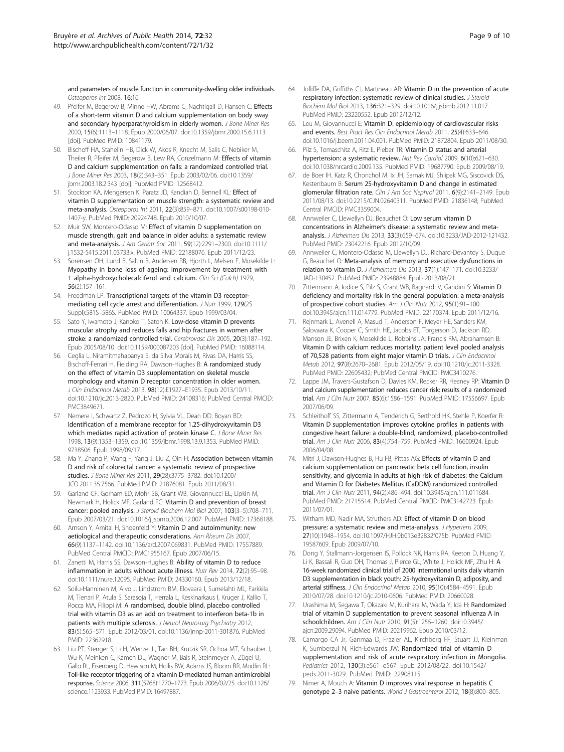<span id="page-8-0"></span>and parameters of muscle function in community-dwelling older individuals. Osteoporos Int 2008, 16:16.

- 49. Pfeifer M, Begerow B, Minne HW, Abrams C, Nachtigall D, Hansen C: Effects of a short-term vitamin D and calcium supplementation on body sway and secondary hyperparathyroidism in elderly women. J Bone Miner Res 2000, 15(6):1113–1118. Epub 2000/06/07. doi:10.1359/jbmr.2000.15.6.1113 [doi]. PubMed PMID: 10841179.
- 50. Bischoff HA, Stahelin HB, Dick W, Akos R, Knecht M, Salis C, Nebiker M, Theiler R, Pfeifer M, Begerow B, Lew RA, Conzelmann M: Effects of vitamin D and calcium supplementation on falls: a randomized controlled trial. J Bone Miner Res 2003, 18(2):343–351. Epub 2003/02/06. doi:10.1359/ jbmr.2003.18.2.343 [doi]. PubMed PMID: 12568412.
- 51. Stockton KA, Mengersen K, Paratz JD, Kandiah D, Bennell KL: Effect of vitamin D supplementation on muscle strength: a systematic review and meta-analysis. Osteoporos Int 2011, 22(3):859–871. doi:10.1007/s00198-010- 1407-y. PubMed PMID: 20924748. Epub 2010/10/07.
- 52. Muir SW, Montero-Odasso M: Effect of vitamin D supplementation on muscle strength, gait and balance in older adults: a systematic review and meta-analysis. J Am Geriatr Soc 2011, 59(12):2291–2300. doi:10.1111/ j.1532-5415.2011.03733.x. PubMed PMID: 22188076. Epub 2011/12/23.
- 53. Sorensen OH, Lund B, Saltin B, Andersen RB, Hjorth L, Melsen F, Mosekilde L: Myopathy in bone loss of ageing: improvement by treatment with 1 alpha-hydroxycholecalciferol and calcium. Clin Sci (Colch) 1979, 56(2):157–161.
- 54. Freedman LP: Transcriptional targets of the vitamin D3 receptormediating cell cycle arrest and differentiation. J Nutr 1999, 129(2S Suppl):581S–586S. PubMed PMID: 10064337. Epub 1999/03/04.
- 55. Sato Y, Iwamoto J, Kanoko T, Satoh K: Low-dose vitamin D prevents muscular atrophy and reduces falls and hip fractures in women after stroke: a randomized controlled trial. Cerebrovasc Dis 2005, 20(3):187–192. Epub 2005/08/10. doi:10.1159/000087203 [doi]. PubMed PMID: 16088114.
- 56. Ceglia L, Niramitmahapanya S, da Silva Morais M, Rivas DA, Harris SS, Bischoff-Ferrari H, Fielding RA, Dawson-Hughes B: A randomized study on the effect of vitamin D3 supplementation on skeletal muscle morphology and vitamin D receptor concentration in older women. J Clin Endocrinol Metab 2013, 98(12):E1927–E1935. Epub 2013/10/11. doi:10.1210/jc.2013-2820. PubMed PMID: 24108316; PubMed Central PMCID: PMC3849671.
- 57. Nemere I, Schwartz Z, Pedrozo H, Sylvia VL, Dean DD, Boyan BD: Identification of a membrane receptor for 1,25-dihydroxyvitamin D3 which mediates rapid activation of protein kinase C. J Bone Miner Res 1998, 13(9):1353–1359. doi:10.1359/jbmr.1998.13.9.1353. PubMed PMID: 9738506. Epub 1998/09/17.
- 58. Ma Y, Zhang P, Wang F, Yang J, Liu Z, Qin H: Association between vitamin D and risk of colorectal cancer: a systematic review of prospective studies. J Bone Miner Res 2011, 29(28):3775–3782. doi:10.1200/ JCO.2011.35.7566. PubMed PMID: 21876081. Epub 2011/08/31.
- 59. Garland CF, Gorham ED, Mohr SB, Grant WB, Giovannucci EL, Lipkin M, Newmark H, Holick MF, Garland FC: Vitamin D and prevention of breast cancer: pooled analysis. J Steroid Biochem Mol Biol 2007, 103(3–5):708–711. Epub 2007/03/21. doi:10.1016/j.jsbmb.2006.12.007. PubMed PMID: 17368188.
- 60. Arnson Y, Amital H, Shoenfeld Y: Vitamin D and autoimmunity: new aetiological and therapeutic considerations. Ann Rheum Dis 2007, 66(9):1137–1142. doi:10.1136/ard.2007.069831. PubMed PMID: 17557889. PubMed Central PMCID: PMC1955167. Epub 2007/06/15.
- 61. Zanetti M, Harris SS, Dawson-Hughes B: Ability of vitamin D to reduce inflammation in adults without acute illness. Nutr Rev 2014, 72(2):95–98. doi:10.1111/nure.12095. PubMed PMID: 24330160. Epub 2013/12/18.
- 62. Soilu-Hanninen M, Aivo J, Lindstrom BM, Elovaara I, Sumelahti ML, Farkkila M, Tienari P, Atula S, Sarasoja T, Herrala L, Keskinarkaus I, Kruger J, Kallio T, Rocca MA, Filippi M: A randomised, double blind, placebo controlled trial with vitamin D3 as an add on treatment to interferon beta-1b in patients with multiple sclerosis. J Neurol Neurosura Psychiatry 2012, 83(5):565–571. Epub 2012/03/01. doi:10.1136/jnnp-2011-301876. PubMed PMID: 22362918.
- 63. Liu PT, Stenger S, Li H, Wenzel L, Tan BH, Krutzik SR, Ochoa MT, Schauber J, Wu K, Meinken C, Kamen DL, Wagner M, Bals R, Steinmeyer A, Zügel U, Gallo RL, Eisenberg D, Hewison M, Hollis BW, Adams JS, Bloom BR, Modlin RL: Toll-like receptor triggering of a vitamin D-mediated human antimicrobial response. Science 2006, 311(5768):1770–1773. Epub 2006/02/25. doi:10.1126/ science.1123933. PubMed PMID: 16497887.
- 64. Jolliffe DA, Griffiths CJ, Martineau AR: Vitamin D in the prevention of acute respiratory infection: systematic review of clinical studies. J Steroid Biochem Mol Biol 2013, 136:321–329. doi:10.1016/j.jsbmb.2012.11.017. PubMed PMID: 23220552. Epub 2012/12/12.
- 65. Leu M, Giovannucci E: Vitamin D: epidemiology of cardiovascular risks and events. Best Pract Res Clin Endocrinol Metab 2011, 25(4):633–646. doi:10.1016/j.beem.2011.04.001. PubMed PMID: 21872804. Epub 2011/08/30.
- Pilz S, Tomaschitz A, Ritz E, Pieber TR: Vitamin D status and arterial hypertension: a systematic review. Nat Rev Cardiol 2009, 6(10):621–630. doi:10.1038/nrcardio.2009.135. PubMed PMID: 19687790. Epub 2009/08/19.
- 67. de Boer IH, Katz R, Chonchol M, Ix JH, Sarnak MJ, Shlipak MG, Siscovick DS, Kestenbaum B: Serum 25-hydroxyvitamin D and change in estimated glomerular filtration rate. Clin J Am Soc Nephrol 2011, 6(9):2141-2149. Epub 2011/08/13. doi:10.2215/CJN.02640311. PubMed PMID: 21836148; PubMed Central PMCID: PMC3359004.
- 68. Annweiler C, Llewellyn DJ, Beauchet O: Low serum vitamin D concentrations in Alzheimer's disease: a systematic review and metaanalysis. J Alzheimers Dis 2013, 33(3):659–674. doi:10.3233/JAD-2012-121432. PubMed PMID: 23042216. Epub 2012/10/09.
- 69. Annweiler C, Montero-Odasso M, Llewellyn DJ, Richard-Devantoy S, Duque G, Beauchet O: Meta-analysis of memory and executive dysfunctions in relation to vitamin D. J Alzheimers Dis 2013, 37(1):147–171. doi:10.3233/ JAD-130452. PubMed PMID: 23948884. Epub 2013/08/21.
- 70. Zittermann A, Iodice S, Pilz S, Grant WB, Bagnardi V, Gandini S: Vitamin D deficiency and mortality risk in the general population: a meta-analysis of prospective cohort studies. Am J Clin Nutr 2012, 95(1):91-100. doi:10.3945/ajcn.111.014779. PubMed PMID: 22170374. Epub 2011/12/16.
- 71. Rejnmark L, Avenell A, Masud T, Anderson F, Meyer HE, Sanders KM, Salovaara K, Cooper C, Smith HE, Jacobs ET, Torgerson D, Jackson RD, Manson JE, Brixen K, Mosekilde L, Robbins JA, Francis RM, Abrahamsen B: Vitamin D with calcium reduces mortality: patient level pooled analysis of 70,528 patients from eight major vitamin D trials. J Clin Endocrinol Metab 2012, 97(8):2670–2681. Epub 2012/05/19. doi:10.1210/jc.2011-3328. PubMed PMID: 22605432; PubMed Central PMCID: PMC3410276.
- 72. Lappe JM, Travers-Gustafson D, Davies KM, Recker RR, Heaney RP: Vitamin D and calcium supplementation reduces cancer risk: results of a randomized trial. Am J Clin Nutr 2007, 85(6):1586-1591. PubMed PMID: 17556697. Epub 2007/06/09.
- 73. Schleithoff SS, Zittermann A, Tenderich G, Berthold HK, Stehle P, Koerfer R: Vitamin D supplementation improves cytokine profiles in patients with congestive heart failure: a double-blind, randomized, placebo-controlled trial. Am J Clin Nutr 2006, 83(4):754–759. PubMed PMID: 16600924. Epub 2006/04/08.
- 74. Mitri J, Dawson-Hughes B, Hu FB, Pittas AG: Effects of vitamin D and calcium supplementation on pancreatic beta cell function, insulin sensitivity, and glycemia in adults at high risk of diabetes: the Calcium and Vitamin D for Diabetes Mellitus (CaDDM) randomized controlled trial. Am J Clin Nutr 2011, 94(2):486–494. doi:10.3945/ajcn.111.011684. PubMed PMID: 21715514. PubMed Central PMCID: PMC3142723. Epub 2011/07/01.
- 75. Witham MD, Nadir MA, Struthers AD: Effect of vitamin D on blood pressure: a systematic review and meta-analysis. J Hypertens 2009, 27(10):1948–1954. doi:10.1097/HJH.0b013e32832f075b. PubMed PMID: 19587609. Epub 2009/07/10.
- 76. Dong Y, Stallmann-Jorgensen IS, Pollock NK, Harris RA, Keeton D, Huang Y, Li K, Bassali R, Guo DH, Thomas J, Pierce GL, White J, Holick MF, Zhu H: A 16-week randomized clinical trial of 2000 international units daily vitamin D3 supplementation in black youth: 25-hydroxyvitamin D, adiposity, and arterial stiffness. J Clin Endocrinol Metab 2010, 95(10):4584-4591. Epub 2010/07/28. doi:10.1210/jc.2010-0606. PubMed PMID: 20660028.
- 77. Urashima M, Segawa T, Okazaki M, Kurihara M, Wada Y, Ida H: Randomized trial of vitamin D supplementation to prevent seasonal influenza A in schoolchildren. Am J Clin Nutr 2010, 91(5):1255–1260. doi:10.3945/ ajcn.2009.29094. PubMed PMID: 20219962. Epub 2010/03/12.
- 78. Camargo CA Jr, Ganmaa D, Frazier AL, Kirchberg FF, Stuart JJ, Kleinman K, Sumberzul N, Rich-Edwards JW: Randomized trial of vitamin D supplementation and risk of acute respiratory infection in Mongolia. Pediatrics 2012, 130(3):e561–e567. Epub 2012/08/22. doi:10.1542/ peds.2011-3029. PubMed PMID: 22908115.
- 79. Nimer A, Mouch A: Vitamin D improves viral response in hepatitis C genotype 2–3 naive patients. World J Gastroenterol 2012, 18(8):800–805.